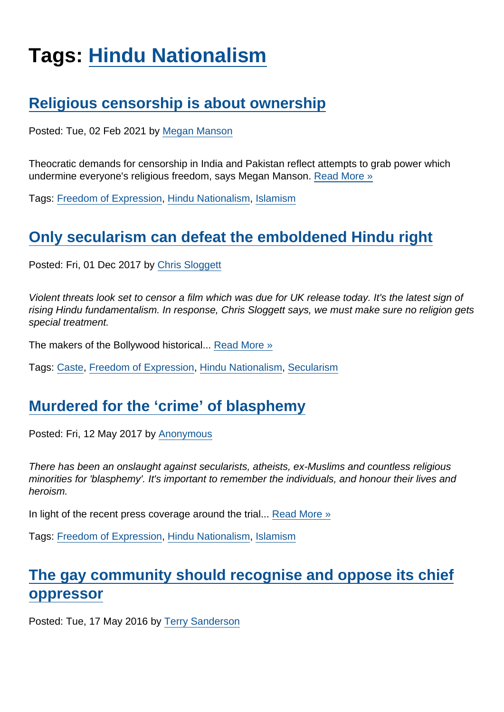# Tags: [Hindu Nationalism](https://www.secularism.org.uk/opinion/tags/Hindu+Nationalism)

## [Religious censorship is about ownership](https://www.secularism.org.uk/opinion/2021/02/religious-censorship-is-about-ownership)

Posted: Tue, 02 Feb 2021 by [Megan Manson](https://www.secularism.org.uk/opinion/authors/971)

Theocratic demands for censorship in India and Pakistan reflect attempts to grab power which undermine everyone's religious freedom, says Megan Manson. [Read More »](https://www.secularism.org.uk/opinion/2021/02/religious-censorship-is-about-ownership)

Tags: [Freedom of Expression](https://www.secularism.org.uk/opinion/tags/Freedom+of+Expression), [Hindu Nationalism](https://www.secularism.org.uk/opinion/tags/Hindu+Nationalism), [Islamism](https://www.secularism.org.uk/opinion/tags/Islamism)

#### [Only secularism can defeat the emboldened Hindu right](https://www.secularism.org.uk/opinion/2017/12/only-secularism-can-defeat-the-emboldened-hindu-right)

Posted: Fri, 01 Dec 2017 by [Chris Sloggett](https://www.secularism.org.uk/opinion/authors/968)

Violent threats look set to censor a film which was due for UK release today. It's the latest sign of rising Hindu fundamentalism. In response, Chris Sloggett says, we must make sure no religion gets special treatment.

The makers of the Bollywood historical... [Read More »](https://www.secularism.org.uk/opinion/2017/12/only-secularism-can-defeat-the-emboldened-hindu-right)

Tags: [Caste,](https://www.secularism.org.uk/opinion/tags/Caste) [Freedom of Expression](https://www.secularism.org.uk/opinion/tags/Freedom+of+Expression), [Hindu Nationalism](https://www.secularism.org.uk/opinion/tags/Hindu+Nationalism), [Secularism](https://www.secularism.org.uk/opinion/tags/Secularism)

## [Murdered for the 'crime' of blasphemy](https://www.secularism.org.uk/opinion/2017/05/murdered-for-the-crime-of-blasphemy)

Posted: Fri, 12 May 2017 by [Anonymous](https://www.secularism.org.uk/opinion/authors/872)

There has been an onslaught against secularists, atheists, ex-Muslims and countless religious minorities for 'blasphemy'. It's important to remember the individuals, and honour their lives and heroism.

In light of the recent press coverage around the trial... [Read More »](https://www.secularism.org.uk/opinion/2017/05/murdered-for-the-crime-of-blasphemy)

Tags: [Freedom of Expression](https://www.secularism.org.uk/opinion/tags/Freedom+of+Expression), [Hindu Nationalism](https://www.secularism.org.uk/opinion/tags/Hindu+Nationalism), [Islamism](https://www.secularism.org.uk/opinion/tags/Islamism)

# [The gay community should recognise and oppose its chief](https://www.secularism.org.uk/opinion/2016/05/the-gay-community-should-recognise-and-oppose-its-chief-oppressor) [oppressor](https://www.secularism.org.uk/opinion/2016/05/the-gay-community-should-recognise-and-oppose-its-chief-oppressor)

Posted: Tue, 17 May 2016 by [Terry Sanderson](https://www.secularism.org.uk/opinion/authors/850)